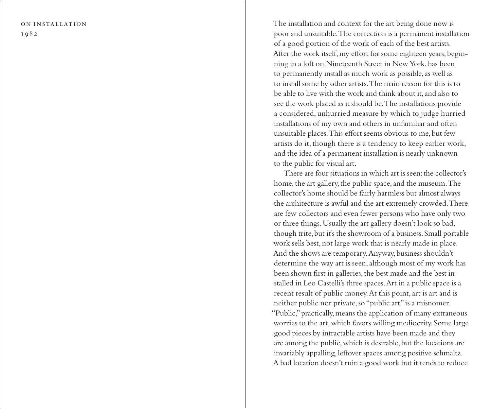ON INSTALLATION 1982

The installation and context for the art being done now is poor and unsuitable. The correction is a permanent installation of a good portion of the work of each of the best artists. After the work itself, my effort for some eighteen years, begin ning in a loft on Nineteenth Street in New York, has been to permanently install as much work as possible, as well as to install some by other artists. The main reason for this is to be able to live with the work and think about it, and also to see the work placed as it should be. The installations provide a considered, unhurried measure by which to judge hurried installations of my own and others in unfamiliar and often unsuitable places. This effort seems obvious to me, but few artists do it, though there is a tendency to keep earlier work, and the idea of a permanent installation is nearly unknown to the public for visual art.

There are four situations in which art is seen: the collector's home, the art gallery, the public space, and the museum. The collector's home should be fairly harmless but almost always the architecture is awful and the art extremely crowded. There are few collectors and even fewer persons who have only two or three things. Usually the art gallery doesn't look so bad, though trite, but it's the showroom of a business. Small portable work sells best, not large work that is nearly made in place. And the shows are temporary. Anyway, business shouldn't determine the way art is seen, although most of my work has been shown first in galleries, the best made and the best in stalled in Leo Castelli's three spaces. Art in a public space is a recent result of public money. At this point, art is art and is neither public nor private, so "public art" is a misnomer. "Public," practically, means the application of many extraneous worries to the art, which favors willing mediocrity. Some large good pieces by intractable artists have been made and they are among the public, which is desirable, but the locations are invariably appalling, leftover spaces among positive schmaltz. A bad location doesn't ruin a good work but it tends to reduce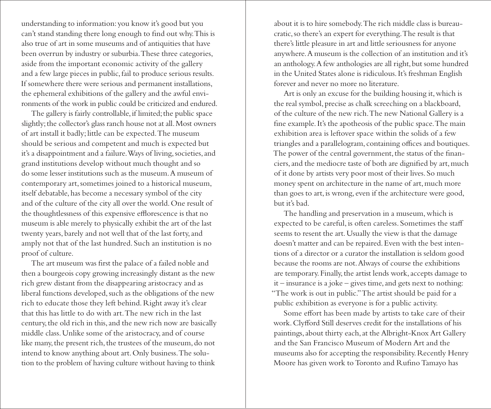understanding to information: you know it's good but you can't stand standing there long enough to find out why. This is also true of art in some museums and of antiquities that have been overrun by industry or suburbia. These three categories, aside from the important economic activity of the gallery and a few large pieces in public, fail to produce serious results. If somewhere there were serious and permanent installations, the ephemeral exhibitions of the gallery and the awful environments of the work in public could be criticized and endured.

The gallery is fairly controllable, if limited; the public space slightly; the collector's glass ranch house not at all. Most owners of art install it badly; little can be expected. The museum should be serious and competent and much is expected but it's a disappointment and a failure. Ways of living, societies, and grand institutions develop without much thought and so do some lesser institutions such as the museum. A museum of contemporary art, sometimes joined to a historical museum, itself debatable, has become a necessary symbol of the city and of the culture of the city all over the world. One result of the thoughtlessness of this expensive efflorescence is that no museum is able merely to physically exhibit the art of the last twenty years, barely and not well that of the last forty, and amply not that of the last hundred. Such an institution is no proof of culture.

The art museum was first the palace of a failed noble and then a bourgeois copy growing increasingly distant as the new rich grew distant from the disappearing aristocracy and as liberal functions developed, such as the obligations of the new rich to educate those they left behind. Right away it's clear that this has little to do with art. The new rich in the last century, the old rich in this, and the new rich now are basically middle class. Unlike some of the aristocracy, and of course like many, the present rich, the trustees of the museum, do not intend to know anything about art. Only business. The solution to the problem of having culture without having to think

about it is to hire somebody. The rich middle class is bureaucratic, so there's an expert for everything. The result is that there's little pleasure in art and little seriousness for anyone anywhere. A museum is the collection of an institution and it's an anthology. A few anthologies are all right, but some hundred in the United States alone is ridiculous. It's freshman English forever and never no more no literature.

Art is only an excuse for the building housing it, which is the real symbol, precise as chalk screeching on a blackboard, of the culture of the new rich. The new National Gallery is a fine example. It's the apotheosis of the public space. The main exhibition area is leftover space within the solids of a few triangles and a parallelogram, containing offices and boutiques. The power of the central government, the status of the financiers, and the mediocre taste of both are dignified by art, much of it done by artists very poor most of their lives. So much money spent on architecture in the name of art, much more than goes to art, is wrong, even if the architecture were good, but it's bad.

The handling and preservation in a museum, which is expected to be careful, is often careless. Sometimes the staff seems to resent the art. Usually the view is that the damage doesn't matter and can be repaired. Even with the best intentions of a director or a curator the installation is seldom good because the rooms are not. Always of course the exhibitions are temporary. Finally, the artist lends work, accepts damage to it – insurance is a joke – gives time, and gets next to nothing: "The work is out in public." The artist should be paid for a public exhibition as everyone is for a public activity.

Some effort has been made by artists to take care of their work. Clyfford Still deserves credit for the installations of his paintings, about thirty each, at the Albright-Knox Art Gallery and the San Francisco Museum of Modern Art and the museums also for accepting the responsibility. Recently Henry Moore has given work to Toronto and Rufino Tamayo has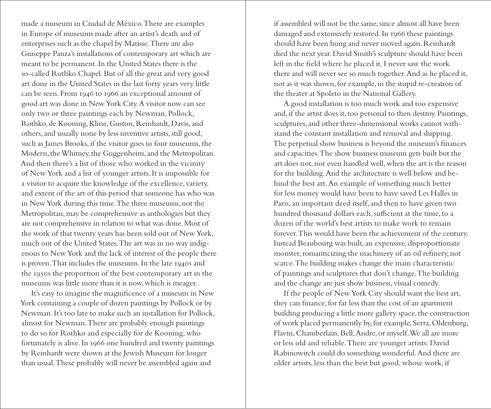made a museum in Ciudad de México. There are examples in Europe of museums made after an artist's death and of enterprises such as the chapel by Matisse. There are also Giuseppe Panza's installations of contemporary art which are meant to be permanent. In the United States there is the so-called Rothko Chapel. But of all the great and very good art done in the United States in the last forty years very little can be seen. From 1946 to 1966 an exceptional amount of good art was done in New York City. A visitor now can see only two or three paintings each by Newman, Pollock, Rothko, de Kooning, Kline, Guston, Reinhardt, Davis, and others, and usually none by less inventive artists, still good, such as James Brooks, if the visitor goes to four museums, the Modern, the Whitney, the Guggenheim, and the Metropolitan. And then there's a list of those who worked in the vicinity of New York and a list of younger artists. It is impossible for a visitor to acquire the knowledge of the excellence, variety, and extent of the art of this period that someone has who was in New York during this time. The three museums, not the Metropolitan, may be comprehensive as anthologies but they are not comprehensive in relation to what was done. Most of the work of that twenty years has been sold out of New York, much out of the United States. The art was in no way indigenous to New York and the lack of interest of the people there is proven. That includes the museums. In the late 1940s and the 1950s the proportion of the best contemporary art in the museums was little more than it is now, which is meager.

It's easy to imagine the magnificence of a museum in New York containing a couple of dozen paintings by Pollock or by Newman. It's too late to make such an installation for Pollock, almost for Newman. There are probably enough paintings to do so for Rothko and especially for de Kooning, who fortunately is alive. In 1966 one hundred and twenty paintings by Reinhardt were shown at the Jewish Museum for longer than usual. These probably will never be assembled again and

if assembled will not be the same, since almost all have been damaged and extensively restored. In 1966 these paintings should have been hung and never moved again. Reinhardt died the next year. David Smith's sculpture should have been left in the field where he placed it. I never saw the work there and will never see so much together. And as he placed it, not as it was shown, for example, in the stupid re-creation of the theater at Spoleto in the National Gallery.

A good installation is too much work and too expensive and, if the artist does it, too personal to then destroy. Paintings, sculptures, and other three-dimensional works cannot withstand the constant installation and removal and shipping. The perpetual show business is beyond the museum's finances and capacities. The show business museum gets built but the art does not, nor even handled well, when the art is the reason for the building. And the architecture is well below and behind the best art. An example of something much better for less money would have been to have saved Les Halles in Paris, an important deed itself, and then to have given two hundred thousand dollars each, sufficient at the time, to a dozen of the world's best artists to make work to remain forever. This would have been the achievement of the century. Instead Beaubourg was built, an expensive, disproportionate monster, romanticizing the machinery of an oil refinery, not scarce. The building makes change the main characteristic of paintings and sculptures that don't change. The building and the change are just show business, visual comedy.

If the people of New York City should want the best art, they can finance, for far less than the cost of an apartment building producing a little more gallery space, the construction of work placed permanently by, for example, Serra, Oldenburg, Flavin, Chamberlain, Bell, Andre, or myself. We all are more or less old and reliable. There are younger artists: David Rabinowitch could do something wonderful. And there are older artists, less than the best but good, whose work, if